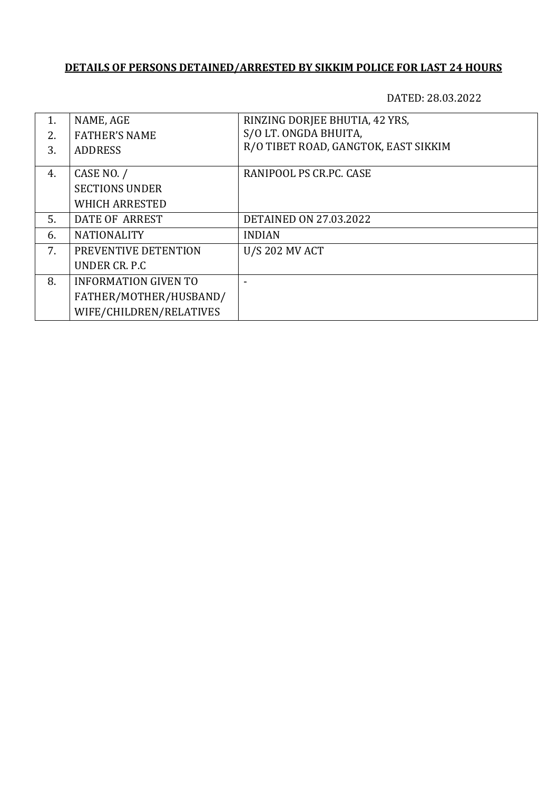| $\mathbf{1}$ .<br>2.5<br>3. | NAME, AGE<br><b>FATHER'S NAME</b><br><b>ADDRESS</b> | RINZING DORJEE BHUTIA, 42 YRS,<br>S/O LT. ONGDA BHUITA,<br>R/O TIBET ROAD, GANGTOK, EAST SIKKIM |
|-----------------------------|-----------------------------------------------------|-------------------------------------------------------------------------------------------------|
| 4.                          | CASE NO. /<br><b>SECTIONS UNDER</b>                 | RANIPOOL PS CR.PC. CASE                                                                         |
|                             | <b>WHICH ARRESTED</b>                               |                                                                                                 |
| .5.                         | DATE OF ARREST                                      | <b>DETAINED ON 27.03.2022</b>                                                                   |
| 6.                          | <b>NATIONALITY</b>                                  | <b>INDIAN</b>                                                                                   |
| 7.                          | PREVENTIVE DETENTION                                | <b>U/S 202 MV ACT</b>                                                                           |
|                             | UNDER CR. P.C.                                      |                                                                                                 |
| 8.                          | <b>INFORMATION GIVEN TO</b>                         |                                                                                                 |
|                             | FATHER/MOTHER/HUSBAND/                              |                                                                                                 |
|                             | WIFE/CHILDREN/RELATIVES                             |                                                                                                 |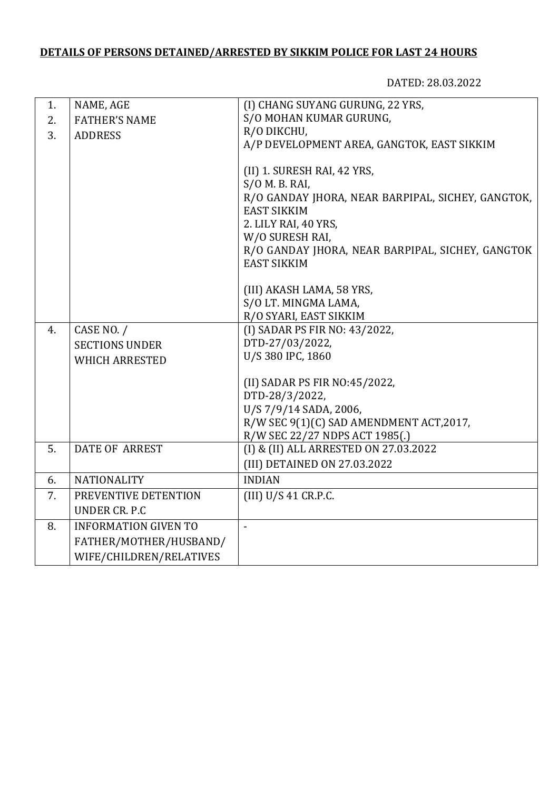| 1. | NAME, AGE                   | (I) CHANG SUYANG GURUNG, 22 YRS,                                       |
|----|-----------------------------|------------------------------------------------------------------------|
| 2. | <b>FATHER'S NAME</b>        | S/O MOHAN KUMAR GURUNG,                                                |
| 3. | <b>ADDRESS</b>              | R/O DIKCHU,                                                            |
|    |                             | A/P DEVELOPMENT AREA, GANGTOK, EAST SIKKIM                             |
|    |                             |                                                                        |
|    |                             | (II) 1. SURESH RAI, 42 YRS,                                            |
|    |                             | $S/O$ M. B. RAI,                                                       |
|    |                             | R/O GANDAY JHORA, NEAR BARPIPAL, SICHEY, GANGTOK,                      |
|    |                             | <b>EAST SIKKIM</b>                                                     |
|    |                             | 2. LILY RAI, 40 YRS,                                                   |
|    |                             | W/O SURESH RAI,                                                        |
|    |                             | R/O GANDAY JHORA, NEAR BARPIPAL, SICHEY, GANGTOK<br><b>EAST SIKKIM</b> |
|    |                             |                                                                        |
|    |                             | (III) AKASH LAMA, 58 YRS,                                              |
|    |                             | S/O LT. MINGMA LAMA,                                                   |
|    |                             | R/O SYARI, EAST SIKKIM                                                 |
| 4. | CASE NO. /                  | (I) SADAR PS FIR NO: 43/2022,                                          |
|    | <b>SECTIONS UNDER</b>       | DTD-27/03/2022,                                                        |
|    | <b>WHICH ARRESTED</b>       | U/S 380 IPC, 1860                                                      |
|    |                             |                                                                        |
|    |                             | (II) SADAR PS FIR NO:45/2022,                                          |
|    |                             | DTD-28/3/2022,                                                         |
|    |                             | U/S 7/9/14 SADA, 2006,                                                 |
|    |                             | R/W SEC 9(1)(C) SAD AMENDMENT ACT, 2017,                               |
|    |                             | R/W SEC 22/27 NDPS ACT 1985(.)                                         |
| 5. | <b>DATE OF ARREST</b>       | (I) & (II) ALL ARRESTED ON 27.03.2022                                  |
|    |                             | (III) DETAINED ON 27.03.2022                                           |
| 6. | <b>NATIONALITY</b>          | <b>INDIAN</b>                                                          |
| 7. | PREVENTIVE DETENTION        | (III) U/S 41 CR.P.C.                                                   |
|    | <b>UNDER CR. P.C</b>        |                                                                        |
| 8. | <b>INFORMATION GIVEN TO</b> | $\overline{a}$                                                         |
|    | FATHER/MOTHER/HUSBAND/      |                                                                        |
|    | WIFE/CHILDREN/RELATIVES     |                                                                        |
|    |                             |                                                                        |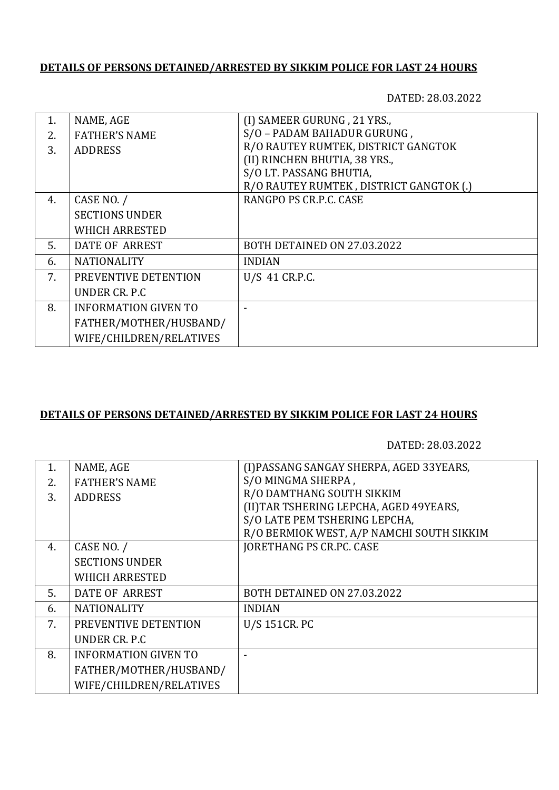DATED: 28.03.2022

| $\mathbf{1}$ . | NAME, AGE                   | (I) SAMEER GURUNG, 21 YRS.,             |
|----------------|-----------------------------|-----------------------------------------|
| 2.             | <b>FATHER'S NAME</b>        | S/O - PADAM BAHADUR GURUNG,             |
| 3.             | <b>ADDRESS</b>              | R/O RAUTEY RUMTEK, DISTRICT GANGTOK     |
|                |                             | (II) RINCHEN BHUTIA, 38 YRS.,           |
|                |                             | S/O LT. PASSANG BHUTIA,                 |
|                |                             | R/O RAUTEY RUMTEK, DISTRICT GANGTOK (.) |
| 4.             | CASE NO. /                  | RANGPO PS CR.P.C. CASE                  |
|                | <b>SECTIONS UNDER</b>       |                                         |
|                | <b>WHICH ARRESTED</b>       |                                         |
| 5.             | DATE OF ARREST              | BOTH DETAINED ON 27.03.2022             |
| 6.             | <b>NATIONALITY</b>          | <b>INDIAN</b>                           |
| 7.             | PREVENTIVE DETENTION        | U/S 41 CR.P.C.                          |
|                | UNDER CR. P.C.              |                                         |
| 8.             | <b>INFORMATION GIVEN TO</b> |                                         |
|                | FATHER/MOTHER/HUSBAND/      |                                         |
|                | WIFE/CHILDREN/RELATIVES     |                                         |

### **DETAILS OF PERSONS DETAINED/ARRESTED BY SIKKIM POLICE FOR LAST 24 HOURS**

| 1. | NAME, AGE                   | (I) PASSANG SANGAY SHERPA, AGED 33YEARS,  |
|----|-----------------------------|-------------------------------------------|
| 2. | <b>FATHER'S NAME</b>        | S/O MINGMA SHERPA,                        |
| 3. | <b>ADDRESS</b>              | R/O DAMTHANG SOUTH SIKKIM                 |
|    |                             | (II) TAR TSHERING LEPCHA, AGED 49YEARS,   |
|    |                             | S/O LATE PEM TSHERING LEPCHA,             |
|    |                             | R/O BERMIOK WEST, A/P NAMCHI SOUTH SIKKIM |
| 4. | CASE NO. /                  | <b>JORETHANG PS CR.PC. CASE</b>           |
|    | <b>SECTIONS UNDER</b>       |                                           |
|    | <b>WHICH ARRESTED</b>       |                                           |
| 5. | DATE OF ARREST              | BOTH DETAINED ON 27.03.2022               |
| 6. | <b>NATIONALITY</b>          | <b>INDIAN</b>                             |
| 7. | PREVENTIVE DETENTION        | U/S 151CR. PC                             |
|    | UNDER CR. P.C.              |                                           |
| 8. | <b>INFORMATION GIVEN TO</b> |                                           |
|    | FATHER/MOTHER/HUSBAND/      |                                           |
|    | WIFE/CHILDREN/RELATIVES     |                                           |